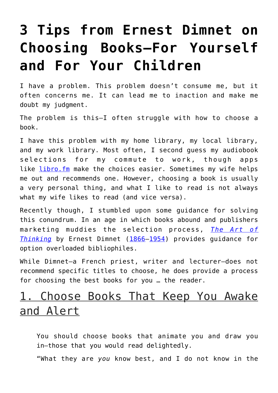## **[3 Tips from Ernest Dimnet on](https://intellectualtakeout.org/2018/06/3-tips-from-ernest-dimnet-on-choosing-books-for-yourself-and-for-your-children/) [Choosing Books—For Yourself](https://intellectualtakeout.org/2018/06/3-tips-from-ernest-dimnet-on-choosing-books-for-yourself-and-for-your-children/) [and For Your Children](https://intellectualtakeout.org/2018/06/3-tips-from-ernest-dimnet-on-choosing-books-for-yourself-and-for-your-children/)**

I have a problem. This problem doesn't consume me, but it often concerns me. It can lead me to inaction and make me doubt my judgment.

The problem is this—I often struggle with how to choose a book.

I have this problem with my home library, my local library, and my work library. Most often, I second guess my audiobook selections for my commute to work, though apps like [libro.fm](https://libro.fm/) make the choices easier. Sometimes my wife helps me out and recommends one. However, choosing a book is usually a very personal thing, and what I like to read is not always what my wife likes to read (and vice versa).

Recently though, I stumbled upon some guidance for solving this conundrum. In an age in which books abound and publishers marketing muddies the selection process, *[The Art of](https://www.amazon.com/Art-Thinking-Ernest-Dimnet/dp/1773230697/ref=sr_1_4?s=books&ie=UTF8&qid=1529073918&sr=1-4&keywords=the+art+of+thinking&dpID=51nb2B2-3kL&preST=_SY291_BO1,204,203,200_QL40_&dpSrc=srch) [Thinking](https://www.amazon.com/Art-Thinking-Ernest-Dimnet/dp/1773230697/ref=sr_1_4?s=books&ie=UTF8&qid=1529073918&sr=1-4&keywords=the+art+of+thinking&dpID=51nb2B2-3kL&preST=_SY291_BO1,204,203,200_QL40_&dpSrc=srch)* by Ernest Dimnet ([1866](https://en.wikiquote.org/wiki/1866)–[1954\)](https://en.wikiquote.org/wiki/1954) provides guidance for option overloaded bibliophiles.

While Dimnet—a French priest, writer and lecturer—does not recommend specific titles to choose, he does provide a process for choosing the best books for you … the reader.

## 1. Choose Books That Keep You Awake and Alert

You should choose books that animate you and draw you in—those that you would read delightedly.

"What they are *you* know best, and I do not know in the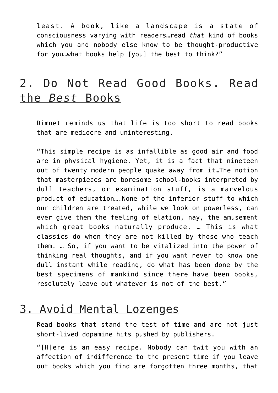least. A book, like a landscape is a state of consciousness varying with readers…read *that* kind of books which you and nobody else know to be thought-productive for you…what books help [you] the best to think?"

## 2. Do Not Read Good Books. Read the *Best* Books

Dimnet reminds us that life is too short to read books that are mediocre and uninteresting.

"This simple recipe is as infallible as good air and food are in physical hygiene. Yet, it is a fact that nineteen out of twenty modern people quake away from it…The notion that masterpieces are boresome school-books interpreted by dull teachers, or examination stuff, is a marvelous product of education….None of the inferior stuff to which our children are treated, while we look on powerless, can ever give them the feeling of elation, nay, the amusement which great books naturally produce. … This is what classics do when they are not killed by those who teach them. … So, if you want to be vitalized into the power of thinking real thoughts, and if you want never to know one dull instant while reading, do what has been done by the best specimens of mankind since there have been books, resolutely leave out whatever is not of the best."

## 3. Avoid Mental Lozenges

Read books that stand the test of time and are not just short-lived dopamine hits pushed by publishers.

"[H]ere is an easy recipe. Nobody can twit you with an affection of indifference to the present time if you leave out books which you find are forgotten three months, that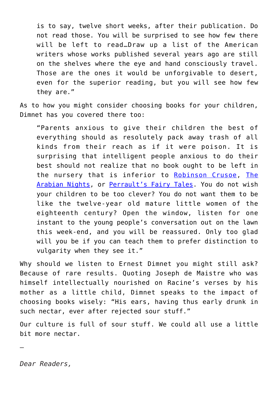is to say, twelve short weeks, after their publication. Do not read those. You will be surprised to see how few there will be left to read…Draw up a list of the American writers whose works published several years ago are still on the shelves where the eye and hand consciously travel. Those are the ones it would be unforgivable to desert, even for the superior reading, but you will see how few they are."

As to how you might consider choosing books for your children, Dimnet has you covered there too:

"Parents anxious to give their children the best of everything should as resolutely pack away trash of all kinds from their reach as if it were poison. It is surprising that intelligent people anxious to do their best should not realize that no book ought to be left in the nursery that is inferior to [Robinson Crusoe](https://www.amazon.com/Robinson-Crusoe-Daniel-Defoe/dp/150329238X/ref=sr_1_4?s=books&ie=UTF8&qid=1529073953&sr=1-4&keywords=robinson+crusoe&dpID=41cKBnp3LTL&preST=_SY291_BO1,204,203,200_QL40_&dpSrc=srch), [The](https://www.amazon.com/Arabian-Nights-New-Deluxe/dp/0393331660/ref=sr_1_4?s=books&ie=UTF8&qid=1529074001&sr=1-4&keywords=the+arabian+nights&dpID=51%252Br8ld4KBL&preST=_SY291_BO1,204,203,200_QL40_&dpSrc=srch) [Arabian Nights,](https://www.amazon.com/Arabian-Nights-New-Deluxe/dp/0393331660/ref=sr_1_4?s=books&ie=UTF8&qid=1529074001&sr=1-4&keywords=the+arabian+nights&dpID=51%252Br8ld4KBL&preST=_SY291_BO1,204,203,200_QL40_&dpSrc=srch) or [Perrault's Fairy Tales.](https://www.amazon.com/Peraults-Classic-French-Fairy-Tales/dp/B00HUW379W/ref=sr_1_2?s=books&ie=UTF8&qid=1529074031&sr=1-2&keywords=perault%27s+fairy+tales) You do not wish your children to be too clever? You do not want them to be like the twelve-year old mature little women of the eighteenth century? Open the window, listen for one instant to the young people's conversation out on the lawn this week-end, and you will be reassured. Only too glad will you be if you can teach them to prefer distinction to vulgarity when they see it."

Why should we listen to Ernest Dimnet you might still ask? Because of rare results. Quoting Joseph de Maistre who was himself intellectually nourished on Racine's verses by his mother as a little child, Dimnet speaks to the impact of choosing books wisely: "His ears, having thus early drunk in such nectar, ever after rejected sour stuff."

Our culture is full of sour stuff. We could all use a little bit more nectar.

—

*Dear Readers,*